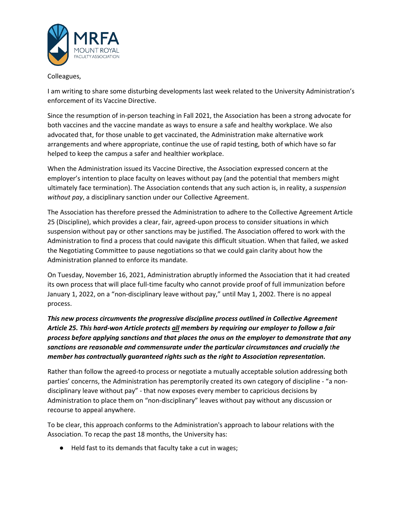

## Colleagues,

I am writing to share some disturbing developments last week related to the University Administration's enforcement of its Vaccine Directive.

Since the resumption of in-person teaching in Fall 2021, the Association has been a strong advocate for both vaccines and the vaccine mandate as ways to ensure a safe and healthy workplace. We also advocated that, for those unable to get vaccinated, the Administration make alternative work arrangements and where appropriate, continue the use of rapid testing, both of which have so far helped to keep the campus a safer and healthier workplace.

When the Administration issued its Vaccine Directive, the Association expressed concern at the employer's intention to place faculty on leaves without pay (and the potential that members might ultimately face termination). The Association contends that any such action is, in reality, a *suspension without pay*, a disciplinary sanction under our Collective Agreement.

The Association has therefore pressed the Administration to adhere to the Collective Agreement Article 25 (Discipline), which provides a clear, fair, agreed-upon process to consider situations in which suspension without pay or other sanctions may be justified. The Association offered to work with the Administration to find a process that could navigate this difficult situation. When that failed, we asked the Negotiating Committee to pause negotiations so that we could gain clarity about how the Administration planned to enforce its mandate.

On Tuesday, November 16, 2021, Administration abruptly informed the Association that it had created its own process that will place full-time faculty who cannot provide proof of full immunization before January 1, 2022, on a "non-disciplinary leave without pay," until May 1, 2002. There is no appeal process.

*This new process circumvents the progressive discipline process outlined in Collective Agreement Article 25. This hard-won Article protects all members by requiring our employer to follow a fair process before applying sanctions and that places the onus on the employer to demonstrate that any sanctions are reasonable and commensurate under the particular circumstances and crucially the member has contractually guaranteed rights such as the right to Association representation.*

Rather than follow the agreed-to process or negotiate a mutually acceptable solution addressing both parties' concerns, the Administration has peremptorily created its own category of discipline - "a nondisciplinary leave without pay" - that now exposes every member to capricious decisions by Administration to place them on "non-disciplinary" leaves without pay without any discussion or recourse to appeal anywhere.

To be clear, this approach conforms to the Administration's approach to labour relations with the Association. To recap the past 18 months, the University has:

● Held fast to its demands that faculty take a cut in wages;